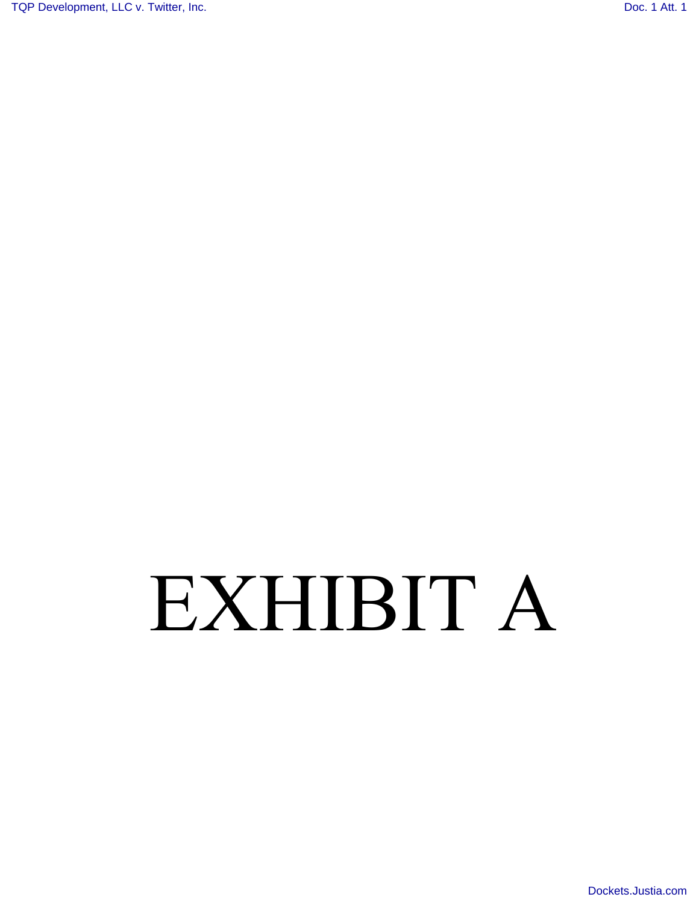[TQP Development, LLC v. Twitter, Inc.](http://dockets.justia.com/docket/texas/txedce/2:2012cv00503/139320/) **[Doc. 1 Att. 1](http://docs.justia.com/cases/federal/district-courts/texas/txedce/2:2012cv00503/139320/1/1.html)** 

# EXHIBIT A

[Dockets.Justia.com](http://dockets.justia.com/)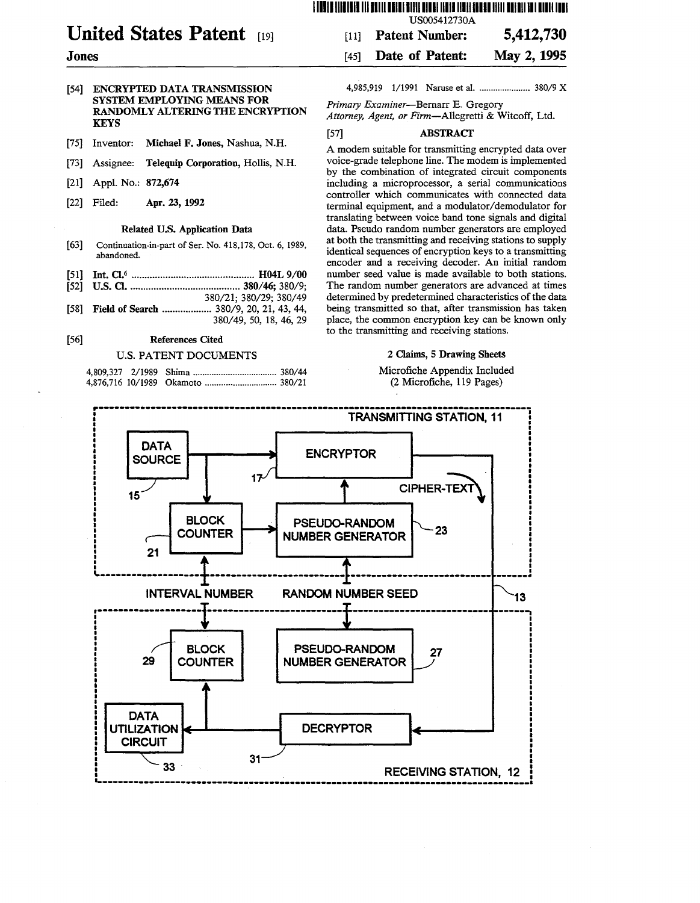## 111111111111111111111111111111111111111111111111111111111111111111111111111 USOO5412730A

# United States Patent

# Jones

- [54] ENCRYPTED DATA TRANSMISSION SYSTEM EMPLOYING MEANS FOR RANDOMLY ALTERING THE ENCRYPTION **KEYS**
- [75] Inventor: Michael F. Jones, Nashua, N.H.
- [73] Assignee: Telequip Corporation, Hollis, N.H.
- [21] Appl. No.: 872,674
- [22] Filed: Apr. 23, 1992

# Related U.S. Application Data

- [63] Continuation-in-part of Ser. No. 418,178, Oct. 6, 1989, abandoned.
- [51] Int. Cl.6 ............................................... H04L 9/00
- [52] U.S. Cl •.......................................... 380/46; 380/9;
- 380/21; 380/29; 380/49 [58] Field of Search ................... 380/9, 20, 21, 43, 44,
- 380/49,50,18,46,29

# [56] References Cited

# U.S. PATENT DOCUMENTS

4,985,919 1/1991 Naruse et aI ....................... 380/9 X

[11] Patent Number: 5,412,730 [45] Date of Patent: May 2, 1995

*Primary Examiner-Bernarr* E. Gregory *Attorney, Agent, or Firm-Allegretti* & Witcoff, Ltd.

# [57] ABSTRACT

A modem suitable for transmitting encrypted data over voice-grade telephone line. The modem is implemented by the combination of integrated circuit components including a microprocessor, a serial communications controller which communicates with connected data terminal equipment, and a modulator/demodulator for translating between voice band tone signals and digital data. Pseudo random number generators are employed at both the transmitting and receiving stations to supply identical sequences of encryption keys to a transmitting encoder and a receiving decoder. An initial random number seed value is made available to both stations. The random number generators are advanced at times determined by predetermined characteristics of the data being transmitted so that, after transmission has taken place, the common encryption key can be known only to the transmitting and receiving stations.

# 2 Claims, 5 Drawing Sheets

Microfiche Appendix Included (2 Microfiche, 119 Pages)

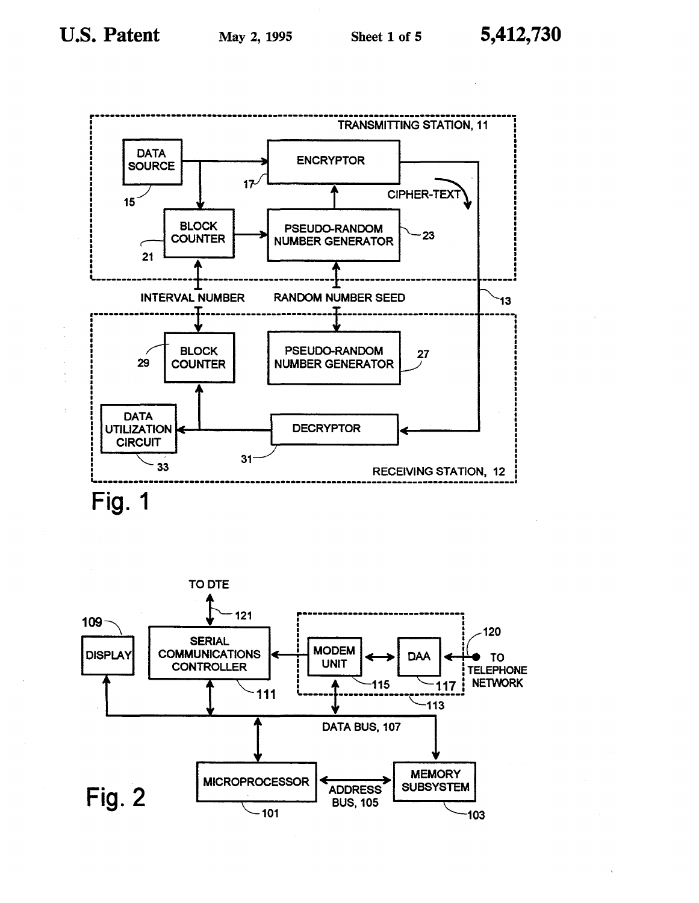*r-----------------------------------------------------***-----------------------------** TRANSMITTING STATION, <sup>11</sup> DATA ... BOURCE **... ENCRYPTOR**  $17$  $\begin{array}{c|c|c|c|c|c} \hline \text{15} & \text{16} & \text{16} & \text{17} & \text{18} \ \hline \end{array}$  $\overline{\text{BLOCK}}$  PSEUDO-RANDOM  $\overline{\smash{\big)}_{23}}$ 21 COUNTER NUMBER GENERATOR  $-1$ INTERVAL NUMBER RANDOM NUMBER SEED  $\begin{bmatrix} 1 & 1 & 1 \\ 1 & 2 & 3 \end{bmatrix}$ ------------------~~--------------------------];-------------------------- ------'") BLOCK | PSEUDO-RANDOM | 27<br>
29 COUNTER | NUMBER GENERATOR **NUMBER GENERATOR** ~ DATA<br>UTILIZATION **DECRYPTOR CIRCUIT** 33 31 31 RECEIVING STATION, 12 ~---------------------------------------------------------------------------------- **Fig. 1** 

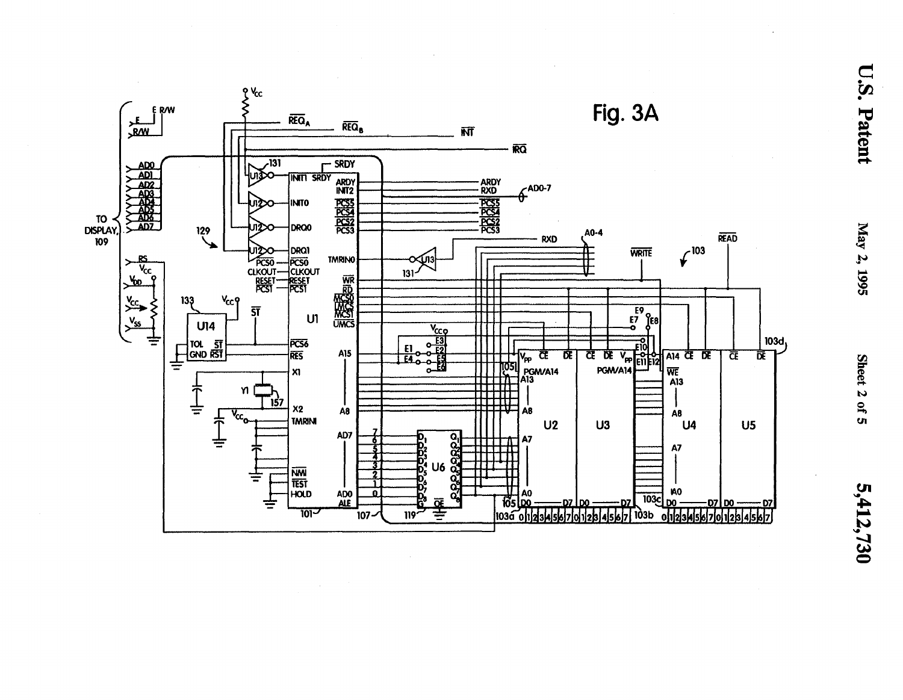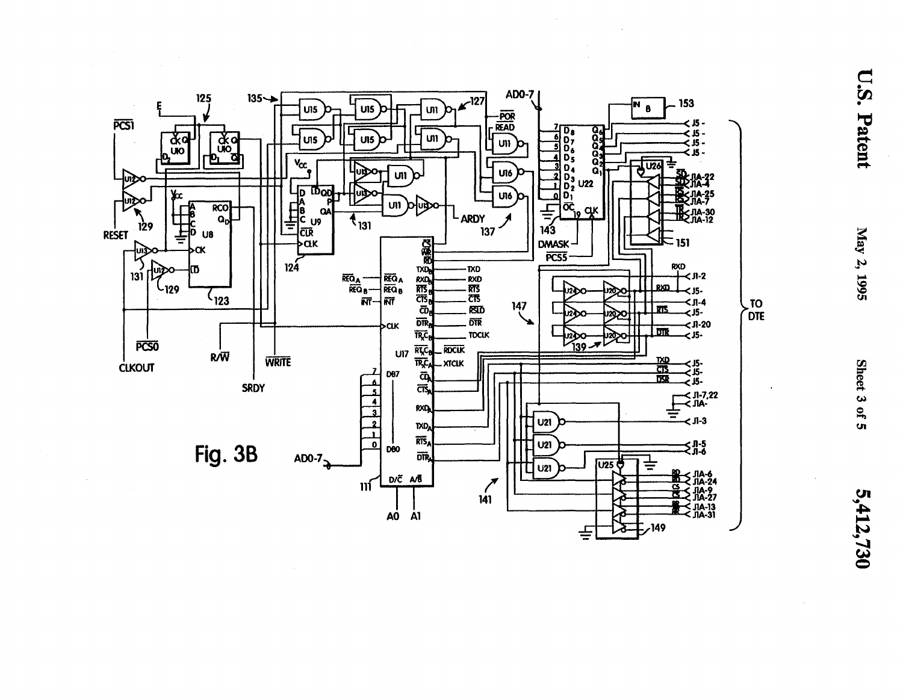

**U.S. Patent**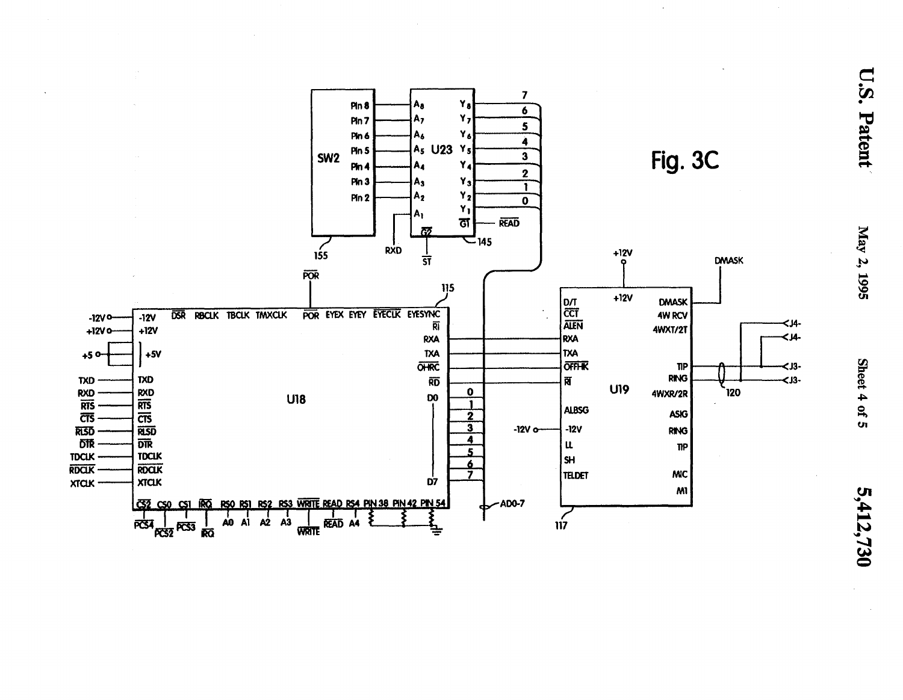

U.S. Patent

May 2, 1995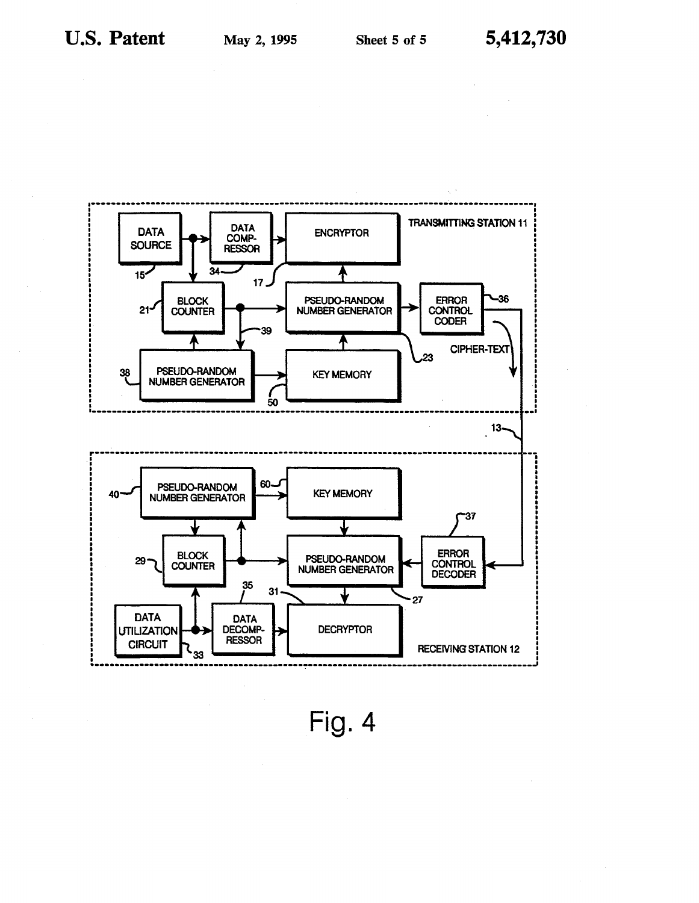

Fig. 4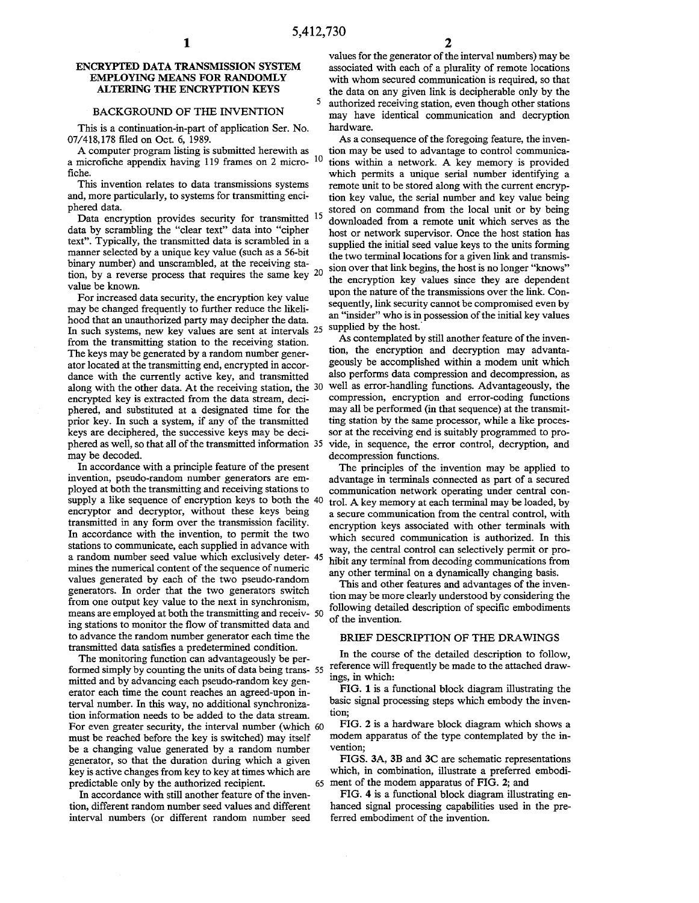#### ENCRYPTED DATA TRANSMISSION SYSTEM EMPLOYING MEANS FOR RANDOMLY ALTERING THE ENCRYPTION KEYS

## BACKGROUND OF THE INVENTION

This is a continuation-in-part of application Ser. No. 07/418,178 filed on Oct. 6, 1989.

A computer program listing is submitted herewith as a microfiche appendix having 119 frames on 2 micro- 10 fiche.

This invention relates to data transmissions systems and, more particularly, to systems for transmitting enciphered data.

Data encryption provides security for transmitted 15 data by scrambling the "clear text" data into "cipher text". Typically, the transmitted data is scrambled in a manner selected by a unique key value (such as a 56-bit binary number) and unscrambled, at the receiving station, by a reverse process that requires the same key 20 value be known.

For increased data security, the encryption key value may be changed frequently to further reduce the likelihood that an unauthorized party may decipher the data. In such systems, new key values are sent at intervals 25 supplied by the host. from the transmitting station to the receiving station. The keys may be generated by a random number generator located at the transmitting end, encrypted in accordance with the currently active key, and transmitted along with the other data. At the receiving station, the 30 encrypted key is extracted from the data stream, deciphered, and substituted at a designated time for the prior key. In such a system, if any of the transmitted keys are deciphered, the successive keys may be deciphered as well, so that all of the transmitted information 35 may be decoded.

In accordance with a principle feature of the present invention, pseudo-random number generators are employed at both the transmitting and receiving stations to supply a like sequence of encryption keys to both the 40 encryptor and decryptor, without these keys being transmitted in any form over the transmission facility. In accordance with the invention, to permit the two stations to communicate, each supplied in advance with a random number seed value which exclusively deter- 45 mines the numerical content of the sequence of numeric values generated by each of the two pseudo-random generators. In order that the two generators switch from one output key value to the next in synchronism, means are employed at both the transmitting and receiv- 50 ing stations to monitor the flow of transmitted data and to advance the random number generator each time the transmitted data satisfies a predetermined condition.

The monitoring function can advantageously be performed simply by counting the units of data being trans- 55 mitted and by advancing each pseudo-random key generator each time the count reaches an agreed-upon interval number. In this way, no additional synchronization information needs to be added to the data stream. For even greater security, the interval number (which 60 must be reached before the key is switched) may itself be a changing value generated by a random number generator, so that the duration during which a given key is active changes from key to key at times which are predictable only by the authorized recipient.

In accordance with still another feature of the invention, different random number seed values and different interval numbers (or different random number seed

values for the generator of the interval numbers) may be associated with each of a plurality of remote locations with whom secured communication is required, so that the data on any given link is decipherable only by the 5 authorized receiving station, even though other stations may have identical communication and decryption hardware.

As a consequence of the foregoing feature, the invention may be used to advantage to control communications within a network. A key memory is provided which permits a unique serial number identifying a remote unit to be stored along with the current encryption key value, the serial number and key value being stored on command from the local unit or by being downloaded from a remote unit which serves as the host or network supervisor. Once the host station has supplied the initial seed value keys to the units forming the two terminal locations for a given link and transmission over that link begins, the host is no longer "knows" the encryption key values since they are dependent upon the nature of the transmissions over the link. Consequently, link security cannot be compromised even by an "insider" who is in possession of the initial key values

As contemplated by still another feature of the invention, the encryption and decryption may advantageously be accomplished within a modem unit which also performs data compression and decompression, as well as error-handling functions. Advantageously, the compression, encryption and error-coding functions may all be performed (in that sequence) at the transmitting station by the same processor, while a like processor at the receiving end is suitably programmed to provide, in sequence, the error control, decryption, and decompression functions.

The principles of the invention may be applied to advantage in terminals connected as part of a secured communication network operating under central control. A key memory at each terminal may be loaded, by a secure communication from the central control, with encryption keys associated with other terminals with which secured communication is authorized. In this way, the central control can selectively permit or prohibit any terminal from decoding communications from any other terminal on a dynamically changing basis.

This and other features and advantages of the invention may be more clearly understood by considering the following detailed description of specific embodiments of the invention.

#### BRIEF DESCRIPTION OF THE DRAWINGS

In the course of the detailed description to follow, reference will frequently be made to the attached drawings, in which:

FIG. 1 is a functional block diagram illustrating the basic signal processing steps which embody the invention;

FIG. 2 is a hardware block diagram which shows a modem apparatus of the type contemplated by the invention;

FIGS. 3A, 3B and 3C are schematic representations which, in combination, illustrate a preferred embodiment of the modem apparatus of FIG. 2; and

FIG. 4 is a functional block diagram illustrating enhanced signal processing capabilities used in the preferred embodiment of the invention.

 $\bar{z}$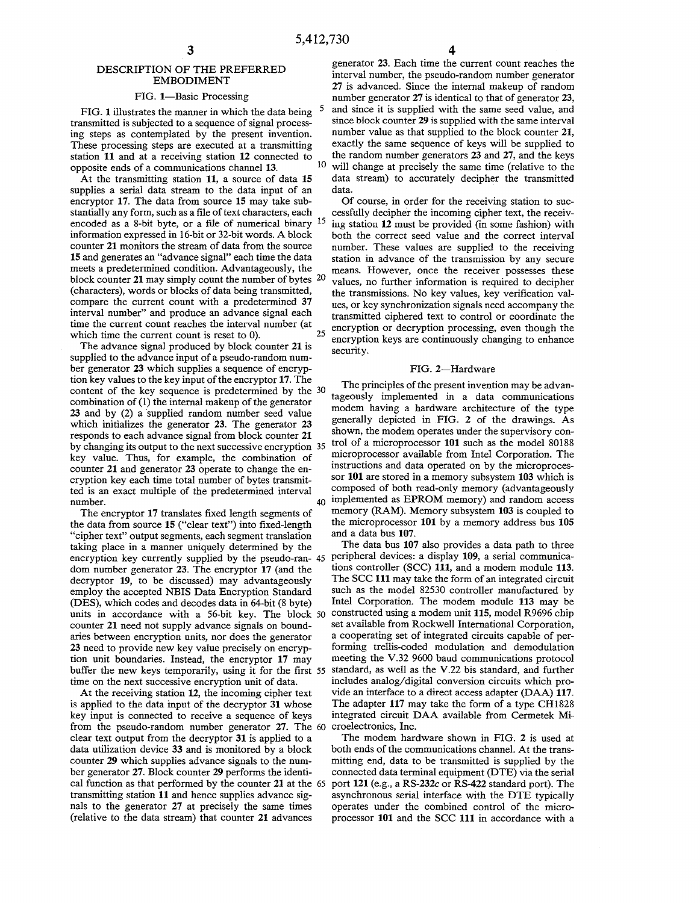#### DESCRIPTION OF THE PREFERRED EMBODIMENT

#### FIG. 1-Basic Processing

FIG. 1 illustrates the manner in which the data being transmitted is subjected to a sequence of signal processing steps as contemplated by the present invention. These processing steps are executed at a transmitting station 11 and at a receiving station 12 connected to opposite ends of a communications channel 13.

At the transmitting station 11, a source of data 15 supplies a serial data stream to the data input of an encryptor 17. The data from source 15 may take substantially any form, such as a file of text characters, each encoded as a 8-bit byte, or a file of numerical binary 15 information expressed in l6-bit or 32-bit words. A block counter 21 monitors the stream of data from the source 15 and generates an "advance signal" each time the data meets a predetermined condition. Advantageously, the block counter 21 may simply count the number of bytes 20 (characters), words or blocks of data being transmitted, compare the current count with a predetermined 37 interval number" and produce an advance signal each time the current count reaches the interval number (at which time the current count is reset to 0).

The advance signal produced by block counter 21 is supplied to the advance input of a pseudo-random number generator 23 which supplies a sequence of encryption key values to the key input of the encryptor 17. The content of the key sequence is predetermined by the 30 combination of (1) the internal makeup of the generator 23 and by (2) a supplied random number seed value which initializes the generator 23. The generator 23 responds to each advance signal from block counter 21 by changing its output to the next successive encryption 35 key value. Thus, for example, the combination of counter 21 and generator 23 operate to change the encryption key each time total number of bytes transmitted is an exact multiple of the predetermined interval number.

The encryptor 17 translates fixed length segments of the data from source 15 ("clear text") into fixed-length "cipher text" output segments, each segment translation taking place in a manner uniquely determined by the encryption key currently supplied by the pseudo-ran- 45 peripheral devices: a display 109, a serial communicadom number generator 23. The encryptor 17 (and the decryptor 19, to be discussed) may advantageously employ the accepted NBIS Data Encryption Standard (DES), which codes and decodes data in 64-bit (8 byte) counter 21 need not supply advance signals on boundaries between encryption units, nor does the generator 23 need to provide new key value precisely on encryption unit boundaries. Instead, the encryptor 17 may time on the next successive encryption unit of data.

At the receiving station 12, the incoming cipher text is applied to the data input of the decryptor 31 whose key input is connected to receive a sequence of keys from the pseudo-random number generator 27. The 60 croelectronics, Inc. clear text output from the decryptor 31 is applied to a data utilization device 33 and is monitored by a block counter 29 which supplies advance signals to the number generator 27. Block counter 29 performs the identitransmitting station 11 and hence supplies advance signals to the generator 27 at precisely the same times (relative to the data stream) that counter 21 advances

generator 23. Each time the current count reaches the interval number, the pseudo-random number generator 27 is advanced. Since the internal makeup of random number generator 27 is identical to that of generator 23, and since it is supplied with the same seed value, and since block counter 29 is supplied with the same interval number value as that supplied to the block counter 21, exactly the same sequence of keys will be supplied to the random number generators 23 and 27, and the keys will change at precisely the same time (relative to the data stream) to accurately decipher the transmitted data.

Of course, in order for the receiving station to successfully decipher the incoming cipher text, the receiving station 12 must be provided (in some fashion) with both the correct seed value and the correct interval number. These values are supplied to the receiving station in advance of the transmission by any secure means. However, once the receiver possesses these values, no further information is required to decipher the transmissions. No key values, key verification values, or key synchronization signals need accompany the transmitted ciphered text to control or coordinate the encryption or decryption processing, even though the encryption keys are continuously changing to enhance security.

#### FIG. 2-Hardware

The principles of the present invention may be advantageously implemented in a data communications modem having a hardware architecture of the type generally depicted in FIG. 2 of the drawings. As shown, the modem operates under the supervisory control of a microprocessor 101 such as the model 80188 microprocessor available from Intel Corporation. The instructions and data operated on by the microprocessor 101 are stored in a memory subsystem 103 which is composed of both read-only memory (advantageously 40 implemented as EPROM memory) and random access memory (RAM). Memory subsystem 103 is coupled to the microprocessor 101 by a memory address bus 105 and a data bus 107.

units in accordance with a 56-bit key. The block 50 constructed using a modem unit 115, model R9696 chip buffer the new keys temporarily, using it for the first 55 standard, as well as the V.22 bis standard, and further The data bus 107 also provides a data path to three tions controller (SCC) 111, and a modem module 113. The SCC 111 may take the form of an integrated circuit such as the model 82530 controller manufactured by Intel Corporation. The modem module 113 may be set available from Rockwell International Corporation, a cooperating set of integrated circuits capable of performing trellis-coded modulation and demodulation meeting the V.32 9600 baud communications protocol includes analog/digital conversion circuits which provide an interface to a direct access adapter (DAA) 117. The adapter 117 may take the form of a type CH1828 integrated circuit DAA available from Cermetek Mi-

cal function as that performed by the counter 21 at the 65 port 121 (e.g., a RS-232c or RS-422 standard port). The The modem hardware shown in FIG. 2 is used at both ends of the communications channel. At the transmitting end, data to be transmitted is supplied by the connected data terminal equipment (DTE) via the serial asynchronous serial interface with the DTE typically operates under the combined control of the microprocessor 101 and the SCC 111 in accordance with a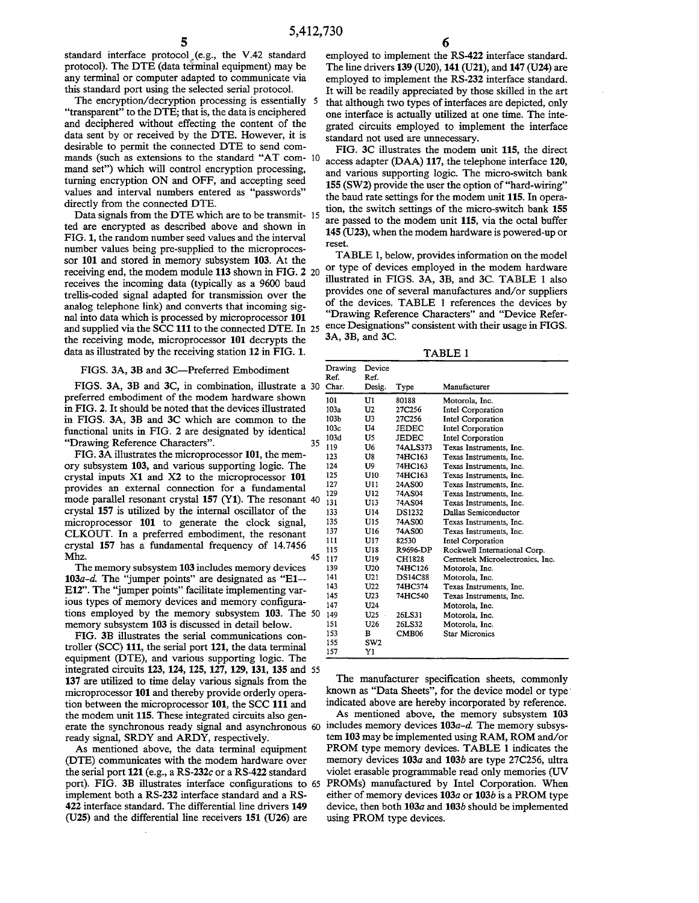standard interface protocol<sub>s</sub>(e.g., the V.42 standard protocol). The DTE (data teiminal equipment) may be any terminal or computer adapted to communicate via this standard port using the selected serial protocol.

The encryption/decryption processing is essentially 5 "transparent" to the DTE; that is, the data is enciphered and deciphered without effecting the content of the data sent by or received by the DTE. However, it is desirable to permit the connected DTE to send commands (such as extensions to the standard "AT com- 10 mand set") which will control encryption processing, turning encryption ON and OFF, and accepting seed values and interval numbers entered as "passwords" directly from the connected DTE.

Data signals from the DTE which are to be transmit- 15 ted are encrypted as described above and shown in FIG. 1, the random number seed values and the interval number values being pre-supplied to the microprocessor 101 and stored in memory subsystem 103. At the receiving end, the modem module 113 shown in FIG. 2 20 receives the incoming data (typically as a 9600 baud trellis-coded signal adapted for transmission over the analog telephone link) and converts that incoming signal into data which is processed by microprocessor 101 and supplied via the SCC 111 to the connected DTE. In 25 the receiving mode, microprocessor 101 decrypts the data as illustrated by the receiving station 12 in FIG. 1.

#### FIGS. 3A, 3B and 3C-Preferred Embodiment

FIGS. 3A, 3B and 3C, in combination, illustrate a 30 preferred embodiment of the modem hardware shown in FIG. 2. It should be noted that the devices illustrated in FIGS. 3A, 3B and 3C which are common to the functional units in FIG. 2 are designated by identical "Drawing Reference Characters". 35

FIG. 3A illustrates the microprocessor 101, the memory subsystem 103, and various supporting logic. The crystal inputs Xl and X2 to the microprocessor 101 provides an external connection for a fundamental mode parallel resonant crystal 157 (Y1). The resonant 40 crystal 157 is utilized by the internal oscillator of the microprocessor 101 to generate the clock signal, CLKOUT. In a preferred embodiment, the resonant crystal 157 has a fundamental frequency of 14.7456  $Mhz.$  45

The memory subsystem 103 includes memory devices *103a-d.* The "jumper points" are designated as "E1-- E12". The "jumper points" facilitate implementing various types of memory devices and memory configurations employed by the memory subsystem 103. The 50 memory subsystem 103 is discussed in detail below.

FIG. 3B illustrates the serial communications controller (SCC) 111, the serial port 121, the data terminal equipment (DTE), and various supporting logic. The integrated circuits 123, 124, 125, 127, 129, 131, 135 and 55 137 are utilized to time delay various signals from the microprocessor 101 and thereby provide orderly operation between the microprocessor 101, the SCC 111 and the modem unit 115. These integrated circuits also generate the synchronous ready signal and asynchronous 60 includes memory devices *103a-d.* The memory subsysready signal, SRDY and ARDY, respectively.

As mentioned above, the data terminal equipment (DTE) communicates with the modem hardware over the serial port 121 (e.g., a *RS-232c* or a RS-422 standard port). FIG. 3B illustrates interface configurations to 65 implement both a RS-232 interface standard and a RS-422 interface standard. The differential line drivers 149 (U25) and the differential line receivers 151 (U26) are

employed to implement the RS-422 interface standard. The line drivers 139 (U20), 141 (U21), and 147 (U24) are employed to implement the RS-232 interface standard. It will be readily appreciated by those skilled in the art that although two types of interfaces are depicted, only one interface is actually utilized at one time. The integrated circuits employed to implement the interface standard not used are unnecessary.

FIG. 3C illustrates the modem unit 115, the direct access adapter (DAA) 117, the telephone interface 120, and various supporting logic. The micro-switch bank 155 (SW2) provide the user the option of "hard-wiring" the baud rate settings for the modem unit 115. In operation, the switch settings of the micro-switch bank 155 are passed to the modem unit 115, via the octal buffer 145 (U23), when the modem hardware is powered-up or reset.

TABLE 1, below, provides information on the model or type of devices employed in the modem hardware illustrated in FIGS. 3A, 3B, and 3C. TABLE 1 also provides one of several manufactures and/or suppliers of the devices. TABLE 1 references the devices by "Drawing Reference Characters" and "Device Reference Designations" consistent with their usage in FIGS. 3A, 3B, and 3C.

TABLE 1

| Drawing<br>Ref.<br>Char. | Device<br>Ref.  |                   |                                 |
|--------------------------|-----------------|-------------------|---------------------------------|
|                          | Desig.          | Type              | Manufacturer                    |
| 101                      | U1              | 80188             | Motorola, Inc.                  |
| 103a                     | U2              | 27C256            | Intel Corporation               |
| 103 <sub>b</sub>         | U3              | 27C256            | Intel Corporation               |
| 103c                     | U4              | JEDEC             | Intel Corporation               |
| 10 <sub>3d</sub>         | U5              | JEDEC             | Intel Corporation               |
| 119                      | U6              | 74ALS373          | Texas Instruments, Inc.         |
| 123                      | U8              | 74HC163           | Texas Instruments, Inc.         |
| 124                      | U9              | 74HC163           | Texas Instruments, Inc.         |
| 125                      | U10             | 74HC163           | Texas Instruments. Inc.         |
| 127                      | U11             | 24AS00            | Texas Instruments, Inc.         |
| 129                      | U12             | 74AS04            | Texas Instruments, Inc.         |
| 131                      | U13             | 74AS04            | Texas Instruments, Inc.         |
| 133                      | U14             | <b>DS1232</b>     | Dallas Semiconductor            |
| 135                      | U15             | <b>74AS00</b>     | Texas Instruments, Inc.         |
| 137                      | U16             | 74AS00            | Texas Instruments, Inc.         |
| 111                      | U17             | 82530             | Intel Corporation               |
| 115                      | U18             | R9696-DP          | Rockwell International Corp.    |
| 117                      | U19             | CH1828            | Cermetek Microelectronics, Inc. |
| 139                      | U20             | 74HC126           | Motorola, Inc.                  |
| 141                      | U21             | <b>DS14C88</b>    | Motorola, Inc.                  |
| 143                      | U22             | 74HC374           | Texas Instruments, Inc.         |
| 145                      | U23             | 74HC540           | Texas Instruments, Inc.         |
| 147                      | U24             |                   | Motorola, Inc.                  |
| 149                      | U25             | 26LS31            | Motorola, Inc.                  |
| 151                      | U26             | 26LS32            | Motorola, Inc.                  |
| 153                      | в               | CMB <sub>06</sub> | Star Micronics                  |
| 155                      | SW <sub>2</sub> |                   |                                 |
| 157                      | Y1              |                   |                                 |

The manufacturer specification sheets, commonly known as "Data Sheets", for the device model or type' indicated above are hereby incorporated by reference.

As mentioned above, the memory subsystem 103 tem 103 may be implemented using RAM, ROM and/or PROM type memory devices. TABLE 1 indicates the memory devices *103a* and 103b are type 27C256, ultra violet erasable programmable read only memories (UV PROMs) manufactured by Intel Corporation. When either of memory devices *103a* or 103b is a PROM type device, then both *103a* and 103b should be implemented using PROM type devices.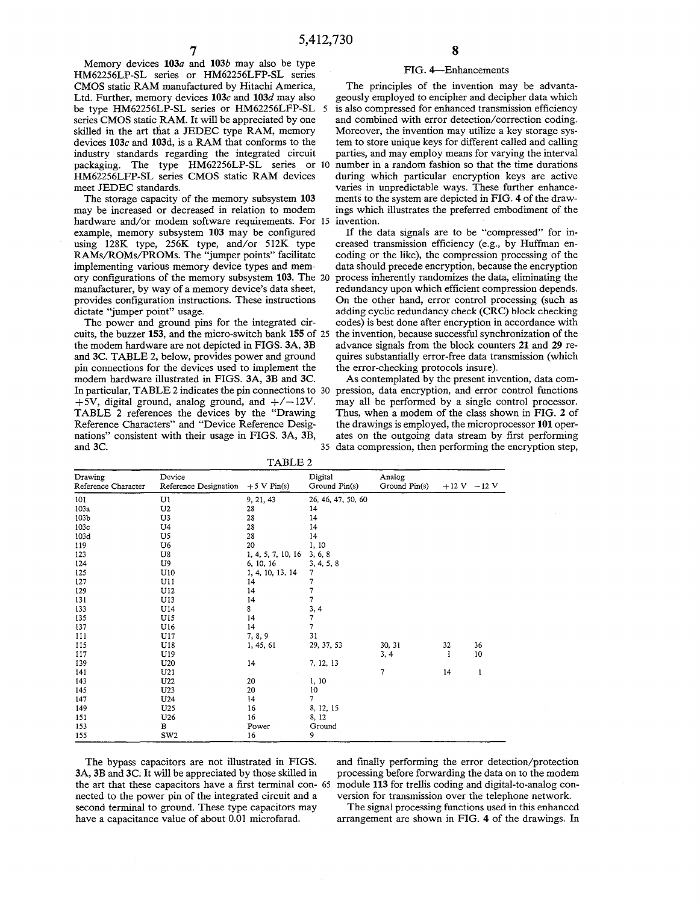Memory devices *103a* and *103b* may also be type HM62256LP-SL series or HM62256LFP-SL series CMOS static RAM manufactured by Hitachi America, Ltd. Further, memory devices *103c* and *103d* may also be type HM62256LP-SL series or HM62256LFP-SL 5 series CMOS static RAM. It will be appreciated by one skilled in the art that a JEDEC type RAM, memory devices *103c* and 103d, is a RAM that conforms to the industry standards regarding the integrated circuit packaging. The type HM62256LP-SL series or 10 HM62256LFP-SL series CMOS static RAM devices meet JEDEC standards.

The storage capacity of the memory subsystem 103 may be increased or decreased in relation to modem hardware and/or modem software requirements. For 15 example, memory subsystem 103 may be configured using 128K type, 256K type, and/or 512K type RAMs/ROMs/PROMs. The "jumper points" facilitate implementing various memory device types and memory configurations of the memory subsystem 103. The 20 manufacturer, by way of a memory device's data sheet, provides configuration instructions. These instructions dictate "jumper point" usage.

The power and ground pins for the integrated circuits, the buzzer 153, and the micro-switch bank 155 of 25 the modem hardware are not depicted in FIGS. 3A, 3B and 3C. TABLE 2, below, provides power and ground pin connections for the devices used to implement the modem hardware illustrated in FIGS. 3A, 3B and 3C. In particular, TABLE 2 indicates the pin connections to 30  $+5V$ , digital ground, analog ground, and  $+/-12V$ . TABLE 2 references the devices by the "Drawing Reference Characters" and "Device Reference Designations" consistent with their usage in FIGS. 3A, 3B,

#### FIG.4-Enhancements

The principles of the invention may be advantageously employed to encipher and decipher data which is also compressed for enhanced transmission efficiency and combined with error detection/correction coding. Moreover, the invention may utilize a key storage system to store unique keys for different called and calling parties, and may employ means for varying the interval number in a random fashion so that the time durations during which particular encryption keys are active varies in unpredictable ways. These further enhancements to the system are depicted in FIG. 4 of the drawings which illustrates the preferred embodiment of the invention.

If the data signals are to be "compressed" for increased transmission efficiency (e.g., by Huffman encoding or the like), the compression processing of the data should precede encryption, because the encryption process inherently randomizes the data, eliminating the redundancy upon which efficient compression depends. On the other hand, error control processing (such as adding cyclic redundancy check (CRC) block checking codes) is best done after encryption in accordance with the invention, because successful synchronization of the advance signals from the block counters 21 and 29 requires substantially error-free data transmission (which the error-checking protocols insure).

As contemplated by the present invention, data compression, data encryption, and error control functions may all be performed by a single control processor. Thus, when a modem of the class shown in FIG. 2 of the drawings is employed, the microprocessor **101** operates on the outgoing data stream by first performing 35 data compression, then performing the encryption step,

| TABLE 2                        |                                 |                       |                          |                         |                 |    |  |  |  |
|--------------------------------|---------------------------------|-----------------------|--------------------------|-------------------------|-----------------|----|--|--|--|
| Drawing<br>Reference Character | Device<br>Reference Designation | $+5 \text{ V}$ Pin(s) | Digital<br>Ground Pin(s) | Analog<br>Ground Pin(s) | $+12$ V $-12$ V |    |  |  |  |
| 101                            | U1                              | 9, 21, 43             | 26, 46, 47, 50, 60       |                         |                 |    |  |  |  |
| 103a                           | U <sub>2</sub>                  | 28                    | 14                       |                         |                 |    |  |  |  |
| 103 <sub>b</sub>               | U3                              | 28                    | 14                       |                         |                 |    |  |  |  |
| 103c                           | U4                              | 28                    | 14                       |                         |                 |    |  |  |  |
| 103d                           | U <sub>5</sub>                  | 28                    | 14                       |                         |                 |    |  |  |  |
| 119                            | U6                              | 20                    | 1, 10                    |                         |                 |    |  |  |  |
| 123                            | U8                              | 1, 4, 5, 7, 10, 16    | 3, 6, 8                  |                         |                 |    |  |  |  |
| 124                            | U9                              | 6, 10, 16             | 3, 4, 5, 8               |                         |                 |    |  |  |  |
| 125                            | U10                             | 1, 4, 10, 13, 14      | 7                        |                         |                 |    |  |  |  |
| 127                            | U11                             | 14                    | 7                        |                         |                 |    |  |  |  |
| 129                            | U12                             | 14                    | $\frac{7}{7}$            |                         |                 |    |  |  |  |
| 131                            | U13                             | 14                    |                          |                         |                 |    |  |  |  |
| 133                            | U14                             | 8                     | 3, 4                     |                         |                 |    |  |  |  |
| 135                            | U15                             | 14                    | $\overline{7}$           |                         |                 |    |  |  |  |
| 137                            | U16                             | 14                    | $\overline{7}$           |                         |                 |    |  |  |  |
| 111                            | U17                             | 7, 8, 9               | 31                       |                         |                 |    |  |  |  |
| 115                            | U18                             | 1, 45, 61             | 29, 37, 53               | 30, 31                  | 32              | 36 |  |  |  |
| 117                            | U19                             |                       |                          | 3, 4                    | 1               | 10 |  |  |  |
| 139                            | U20                             | 14                    | 7, 12, 13                |                         |                 |    |  |  |  |
| 141                            | U21                             |                       |                          | 7                       | 14              | 1  |  |  |  |
| 143                            | U22                             | 20                    | 1, 10                    |                         |                 |    |  |  |  |
| 145                            | U <sub>23</sub>                 | 20                    | 10                       |                         |                 |    |  |  |  |
| 147                            | U24                             | 14                    | 7                        |                         |                 |    |  |  |  |
| 149                            | U25                             | 16                    | 8, 12, 15                |                         |                 |    |  |  |  |
| 151                            | U26                             | 16                    | 8, 12                    |                         |                 |    |  |  |  |
| 153                            | в                               | Power                 | Ground                   |                         |                 |    |  |  |  |
| 155                            | SW <sub>2</sub>                 | 16                    | 9                        |                         |                 |    |  |  |  |

The bypass capacitors are not illustrated in FIGS. 3A, 3B and 3C. It will be appreciated by those skilled in the art that these capacitors have a first terminal con- 65 nected to the power pin of the integrated circuit and a second terminal to ground. These type capacitors may have a capacitance value of about 0.01 microfarad.

and finally performing the error detection/protection processing before forwarding the data on to the modem module 113 for trellis coding and digital-to-analog conversion for transmission over the telephone network.

The signal processing functions used in this enhanced arrangement are shown in FIG. 4 of the drawings. In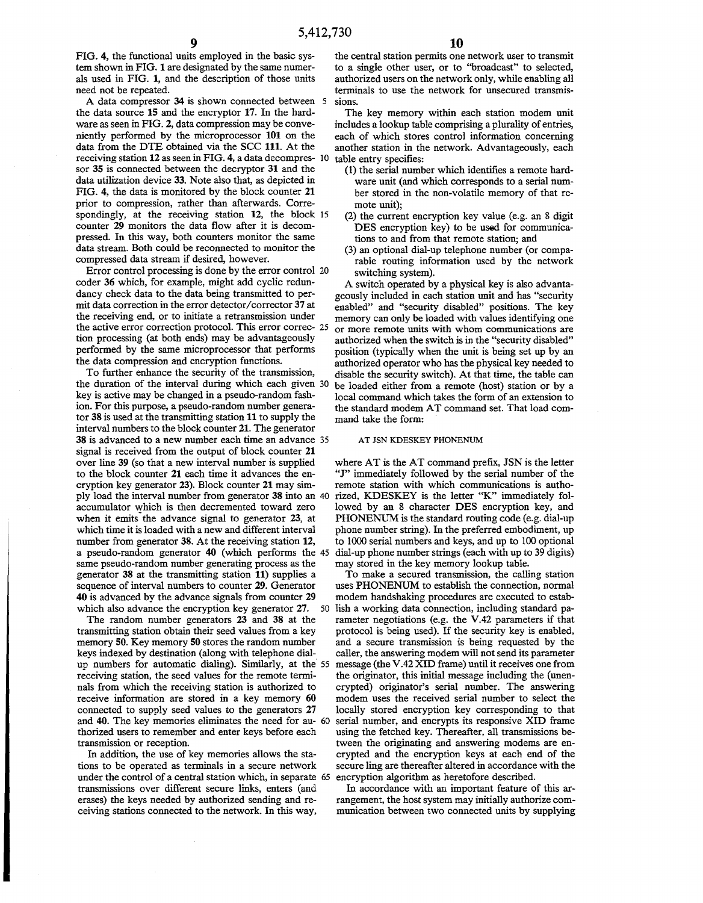9

FIG. 4, the functional units employed in the basic system shown in FIG. 1 are designated by the same numerals used in FIG. 1, and the description of those units need not be repeated.

A data compressor 34 is shown connected between 5 the data source 15 and the encryptor 17. In the hardware as seen in FIG. 2, data compression may be conveniently performed by the microprocessor 101 on the data from the DTE obtained via the SCC 111. At the receiving station 12 as seen in FIG. 4, a data decompres- 10 sor 35 is connected between the decryptor 31 and the data utilization device 33. Note also that, as depicted in FIG. 4, the data is monitored by the block counter 21 prior to compression, rather than afterwards. Correspondingly, at the receiving station 12, the block 15 counter 29 monitors the data flow after it is decompressed. In this way, both counters monitor the same data stream. Both could be reconnected to monitor the compressed data stream if desired, however.

Error control processing is done by the error control 20 coder 36 which, for example, might add cyclic redundancy check data to the data being transmitted to permit data correction in the error detector/corrector 37 at the receiving end, or to initiate a retransmission under the active error correction protocol. This error correc- 25 tion processing (at both ends) may be advantageously performed by the same microprocessor that performs the data compression and encryption functions.

To further enhance the security of the transmission, the duration of the interval during which each given 30 key is active may be changed in a pseudo-random fashion. For this purpose, a pseudo-random number generator 38 is used at the transmitting station 11 to supply the interval numbers to the block counter 21. The generator 38 is advanced to a new number each time an advance 35 signal is received from the output of block counter 21 over line 39 (so that a new interval number is supplied to the block counter 21 each time it advances the encryption key generator 23). Block counter 21 may simply load the interval number from generator 38 into an 40 accumulator which is then decremented toward zero when it emits the advance signal to generator 23, at which time it is loaded with a new and different interval number from generator 38. At the receiving station 12, a pseudo-random generator 40 (which performs the 45 same pseudo-random number generating process as the generator 38 at the transmitting station 11) supplies a sequence of interval numbers to counter 29. Generator 40 is advanced by the advance signals from counter 29 which also advance the encryption key generator 27. 50

The random number generators 23 and 38 at the transmitting station obtain their seed values from a key memory 50. Key memory 50 stores the random number keys indexed by destination (along with telephone dialup numbers for automatic dialing). Similarly, at the 55 receiving station, the seed values for the remote terminals from which the receiving station is authorized to receive information are stored in a key memory 60 connected to supply seed values to the generators 27 and 40. The key memories eliminates the need for au- 60 thorized users to remember and enter keys before each transmission or reception.

In addition, the use of key memories allows the stations to be operated as terminals in a secure network under the control of a central station which, in separate 65 transmissions over different secure links, enters (and erases) the keys needed by authorized sending and receiving stations connected to the network. In this way,

the central station permits one network user to transmit to a single other user, or to "broadcast" to selected, authorized users on the network only, while enabling all terminals to use the network for unsecured transmissions.

The key memory within each station modem unit includes a lookup table comprising a plurality of entries, each of which stores control information concerning another station in the network. Advantageously, each table entry specifies:

- (1) the serial number which identifies a remote hardware unit (and which corresponds to a serial number stored in the non-volatile memory of that remote unit);
- (2) the current encryption key value (e.g. an 8 digit DES encryption key) to be used for communications to and from that remote station; and
- (3) an optional dial-up telephone number (or comparable routing information used by the network switching system).

A switch operated by a physical key is also advantageously included in each station unit and has "security enabled" and "security disabled" positions. The key memory can only be loaded with values identifying one or more remote units with whom communications are authorized when the switch is in the "security disabled" position (typically when the unit is being set up by an authorized operator who has the physical key needed to disable the security switch). At that time, the table can be loaded either from a remote (host) station or by a local command which takes the form of an extension to the standard modem AT command set. That load command take the form:

#### AT JSN KDESKEY PHONENUM

where AT is the AT command prefix, JSN is the letter "J" immediately followed by the serial number of the remote station with which communications is authorized, KDESKEY is the letter "K" immediately followed by an 8 character DES encryption key, and PHONENUM is the standard routing code (e.g. dial-up phone number string). In the preferred embodiment, up to 1000 serial numbers and keys, and up to 100 optional dial-up phone number strings (each with up to 39 digits) may stored in the key memory lookup table.

To make a secured transmission, the calling station uses PHONENUM to establish the connection, normal modem handshaking procedures are executed to establish a working data connection, including standard parameter negotiations (e.g. the V.42 parameters if that protocol is being used). If the security key is enabled, and a secure transmission is being requested by the caller, the answering modem will not send its parameter message (the V.42 XID frame) until it receives one from the originator, this initial message including the (unencrypted) originator's serial number. The answering modem uses the received serial number to select the locally stored encryption key corresponding to that serial number, and encrypts its responsive XID frame using the fetched key. Thereafter, all transmissions between the originating and answering modems are encrypted and the encryption keys at each end of the secure ling are thereafter altered in accordance with the encryption algorithm as heretofore described.

In accordance with an important feature of this arrangement, the host system may initially authorize communication between two connected units by supplying